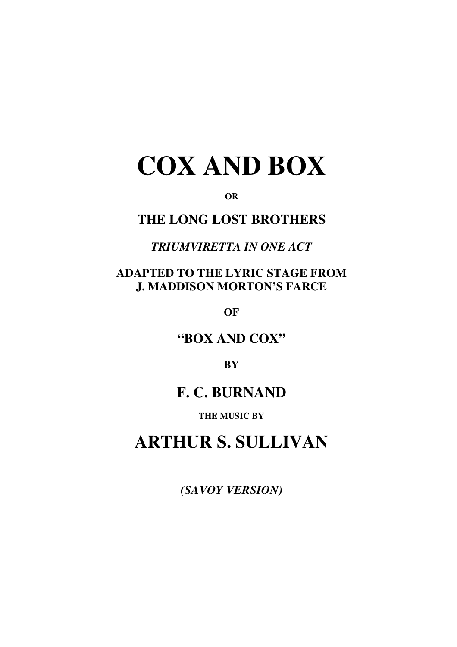# **COX AND BOX**

**OR**

# **THE LONG LOST BROTHERS**

# *TRIUMVIRETTA IN ONE ACT*

## **ADAPTED TO THE LYRIC STAGE FROM J. MADDISON MORTON'S FARCE**

**OF**

# **"BOX AND COX"**

**BY**

# **F. C. BURNAND**

#### **THE MUSIC BY**

# **ARTHUR S. SULLIVAN**

*(SAVOY VERSION)*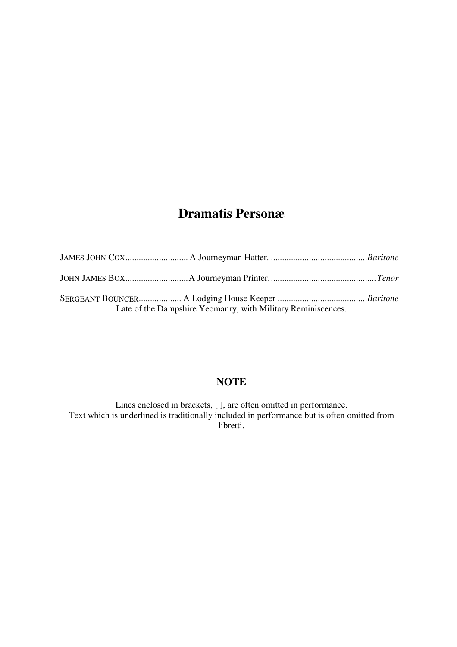# **Dramatis Personæ**

|  | Late of the Dampshire Yeomanry, with Military Reminiscences. |  |
|--|--------------------------------------------------------------|--|

### **NOTE**

Lines enclosed in brackets, [ ], are often omitted in performance. Text which is underlined is traditionally included in performance but is often omitted from libretti.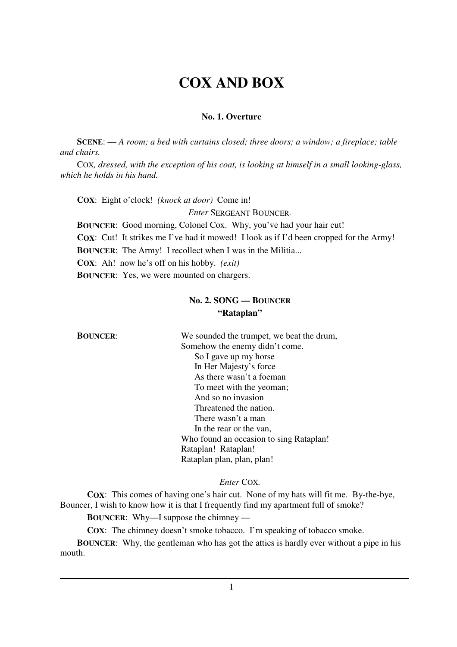# **COX AND BOX**

#### **No. 1. Overture**

**SCENE**: — *A room; a bed with curtains closed; three doors; a window; a fireplace; table and chairs.*

COX*, dressed, with the exception of his coat, is looking at himself in a small looking-glass, which he holds in his hand.*

**COX**: Eight o'clock! *(knock at door)* Come in!

*Enter* SERGEANT BOUNCER*.*

**BOUNCER**: Good morning, Colonel Cox. Why, you've had your hair cut!

**COX**: Cut! It strikes me I've had it mowed! I look as if I'd been cropped for the Army!

**BOUNCER:** The Army! I recollect when I was in the Militia...

**COX**: Ah! now he's off on his hobby. *(exit)*

**BOUNCER**: Yes, we were mounted on chargers.

#### **No. 2. SONG — BOUNCER "Rataplan"**

**BOUNCER:** We sounded the trumpet, we beat the drum, Somehow the enemy didn't come. So I gave up my horse In Her Majesty's force As there wasn't a foeman To meet with the yeoman; And so no invasion Threatened the nation. There wasn't a man In the rear or the van, Who found an occasion to sing Rataplan! Rataplan! Rataplan! Rataplan plan, plan, plan!

#### *Enter* COX*.*

**COX**: This comes of having one's hair cut. None of my hats will fit me. By-the-bye, Bouncer, I wish to know how it is that I frequently find my apartment full of smoke?

**BOUNCER**: Why—I suppose the chimney —

**COX:** The chimney doesn't smoke tobacco. I'm speaking of tobacco smoke.

**BOUNCER**: Why, the gentleman who has got the attics is hardly ever without a pipe in his mouth.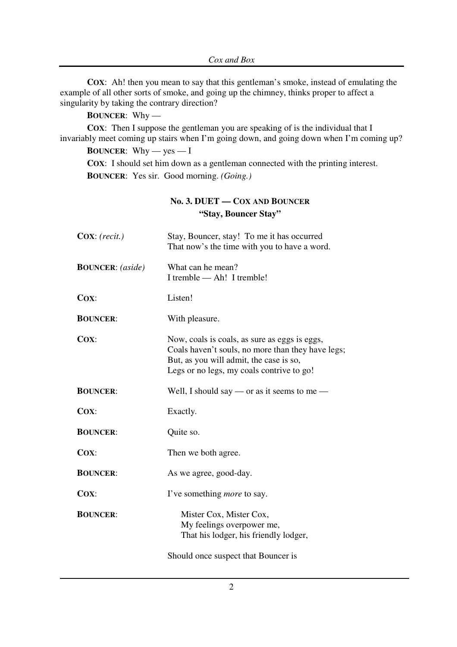**COX:** Ah! then you mean to say that this gentleman's smoke, instead of emulating the example of all other sorts of smoke, and going up the chimney, thinks proper to affect a singularity by taking the contrary direction?

**BOUNCER**: Why —

**COX:** Then I suppose the gentleman you are speaking of is the individual that I invariably meet coming up stairs when I'm going down, and going down when I'm coming up?

**BOUNCER:** Why — yes — I

**COX**: I should set him down as a gentleman connected with the printing interest. **BOUNCER**: Yes sir. Good morning. *(Going.)*

#### **No. 3. DUET — COX AND BOUNCER "Stay, Bouncer Stay"**

| $\text{Cox}: (recit.)$<br>Stay, Bouncer, stay! To me it has occurred<br>That now's the time with you to have a word. |                                                                                                                                                                                            |
|----------------------------------------------------------------------------------------------------------------------|--------------------------------------------------------------------------------------------------------------------------------------------------------------------------------------------|
| <b>BOUNCER:</b> (aside)                                                                                              | What can he mean?<br>I tremble — Ah! I tremble!                                                                                                                                            |
| COX:                                                                                                                 | Listen!                                                                                                                                                                                    |
| <b>BOUNCER:</b>                                                                                                      | With pleasure.                                                                                                                                                                             |
| $Cox$ :                                                                                                              | Now, coals is coals, as sure as eggs is eggs,<br>Coals haven't souls, no more than they have legs;<br>But, as you will admit, the case is so,<br>Legs or no legs, my coals contrive to go! |
| <b>BOUNCER:</b>                                                                                                      | Well, I should say — or as it seems to me —                                                                                                                                                |
| $Cox$ :                                                                                                              | Exactly.                                                                                                                                                                                   |
| <b>BOUNCER:</b>                                                                                                      | Quite so.                                                                                                                                                                                  |
| $Cox$ :                                                                                                              | Then we both agree.                                                                                                                                                                        |
| <b>BOUNCER:</b>                                                                                                      | As we agree, good-day.                                                                                                                                                                     |
| $Cox$ :                                                                                                              | I've something <i>more</i> to say.                                                                                                                                                         |
| <b>BOUNCER:</b>                                                                                                      | Mister Cox, Mister Cox,<br>My feelings overpower me,<br>That his lodger, his friendly lodger,                                                                                              |
|                                                                                                                      | Should once suspect that Bouncer is                                                                                                                                                        |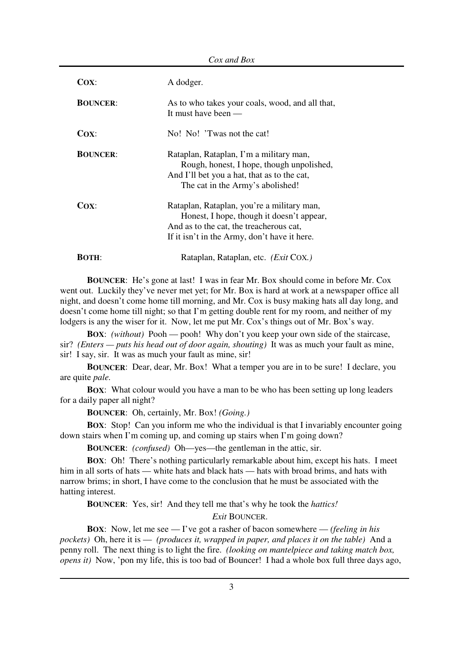| Cox:            | A dodger.                                                                                                                                                                          |
|-----------------|------------------------------------------------------------------------------------------------------------------------------------------------------------------------------------|
| <b>BOUNCER:</b> | As to who takes your coals, wood, and all that,<br>It must have been $-$                                                                                                           |
| COX:            | No! No! 'Twas not the cat!                                                                                                                                                         |
| <b>BOUNCER:</b> | Rataplan, Rataplan, I'm a military man,<br>Rough, honest, I hope, though unpolished,<br>And I'll bet you a hat, that as to the cat,<br>The cat in the Army's abolished!            |
| Cox:            | Rataplan, Rataplan, you're a military man,<br>Honest, I hope, though it doesn't appear,<br>And as to the cat, the treacherous cat,<br>If it isn't in the Army, don't have it here. |
| <b>BOTH:</b>    | Rataplan, Rataplan, etc. (Exit COX.)                                                                                                                                               |

**BOUNCER**: He's gone at last! I was in fear Mr. Box should come in before Mr. Cox went out. Luckily they've never met yet; for Mr. Box is hard at work at a newspaper office all night, and doesn't come home till morning, and Mr. Cox is busy making hats all day long, and doesn't come home till night; so that I'm getting double rent for my room, and neither of my lodgers is any the wiser for it. Now, let me put Mr. Cox's things out of Mr. Box's way.

**BOX**: *(without)* Pooh — pooh! Why don't you keep your own side of the staircase, sir? *(Enters — puts his head out of door again, shouting)* It was as much your fault as mine, sir! I say, sir. It was as much your fault as mine, sir!

**BOUNCER**: Dear, dear, Mr. Box! What a temper you are in to be sure! I declare, you are quite *pale.*

**BOX**: What colour would you have a man to be who has been setting up long leaders for a daily paper all night?

**BOUNCER**: Oh, certainly, Mr. Box! *(Going.)*

**BOX:** Stop! Can you inform me who the individual is that I invariably encounter going down stairs when I'm coming up, and coming up stairs when I'm going down?

**BOUNCER**: *(confused)* Oh—yes—the gentleman in the attic, sir.

**BOX**: Oh! There's nothing particularly remarkable about him, except his hats. I meet him in all sorts of hats — white hats and black hats — hats with broad brims, and hats with narrow brims; in short, I have come to the conclusion that he must be associated with the hatting interest.

**BOUNCER**: Yes, sir! And they tell me that's why he took the *hattics!*

*Exit* BOUNCER.

**BOX**: Now, let me see — I've got a rasher of bacon somewhere — *(feeling in his pockets)* Oh, here it is — *(produces it, wrapped in paper, and places it on the table)* And a penny roll. The next thing is to light the fire. *(looking on mantelpiece and taking match box, opens it*) Now, 'pon my life, this is too bad of Bouncer! I had a whole box full three days ago,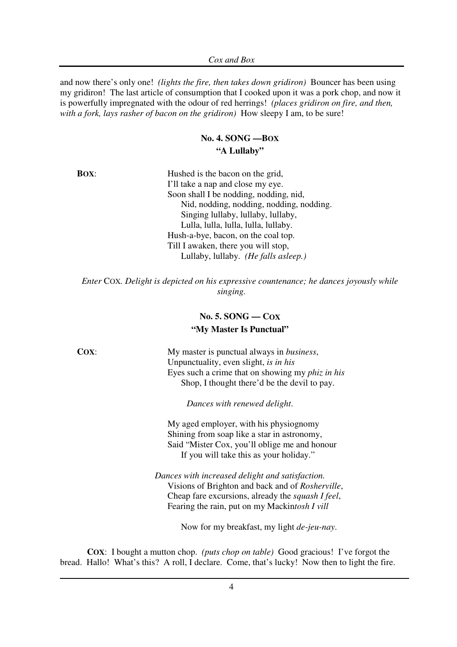and now there's only one! *(lights the fire, then takes down gridiron)* Bouncer has been using my gridiron! The last article of consumption that I cooked upon it was a pork chop, and now it is powerfully impregnated with the odour of red herrings! *(places gridiron on fire, and then, with a fork, lays rasher of bacon on the gridiron)* How sleepy I am, to be sure!

#### **No. 4. SONG —BOX "A Lullaby"**

**BOX:** Hushed is the bacon on the grid, I'll take a nap and close my eye. Soon shall I be nodding, nodding, nid, Nid, nodding, nodding, nodding, nodding. Singing lullaby, lullaby, lullaby, Lulla, lulla, lulla, lulla, lullaby. Hush-a-bye, bacon, on the coal top. Till I awaken, there you will stop, Lullaby, lullaby. *(He falls asleep.)*

*Enter* COX*. Delight is depicted on his expressive countenance; he dances joyously while singing.*

#### **No. 5. SONG — COX "My Master Is Punctual"**

**COX:** My master is punctual always in *business*, Unpunctuality, even slight, *is in his* Eyes such a crime that on showing my *phiz in his* Shop, I thought there'd be the devil to pay.

*Dances with renewed delight*.

My aged employer, with his physiognomy Shining from soap like a star in astronomy, Said "Mister Cox, you'll oblige me and honour If you will take this as your holiday."

*Dances with increased delight and satisfaction.* Visions of Brighton and back and of *Rosherville*, Cheap fare excursions, already the *squash I feel*, Fearing the rain, put on my Mackin*tosh I vill*

Now for my breakfast, my light *de-jeu-nay*.

**COX**: I bought a mutton chop. *(puts chop on table)* Good gracious! I've forgot the bread. Hallo! What's this? A roll, I declare. Come, that's lucky! Now then to light the fire.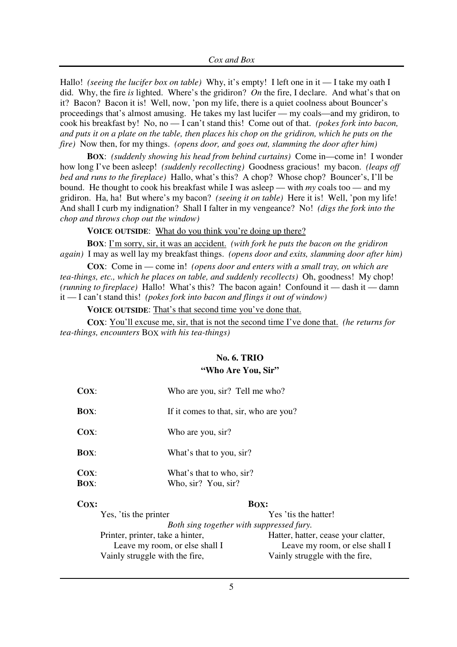Hallo! *(seeing the lucifer box on table)* Why, it's empty! I left one in it — I take my oath I did. Why, the fire *is* lighted. Where's the gridiron? *On* the fire, I declare. And what's that on it? Bacon? Bacon it is! Well, now, 'pon my life, there is a quiet coolness about Bouncer's proceedings that's almost amusing. He takes my last lucifer — my coals—and my gridiron, to cook his breakfast by! No, no — I can't stand this! Come out of that. *(pokes fork into bacon,* and puts it on a plate on the table, then places his chop on the gridiron, which he puts on the *fire)* Now then, for my things. *(opens door, and goes out, slamming the door after him)*

**BOX**: *(suddenly showing his head from behind curtains)* Come in—come in! I wonder how long I've been asleep! *(suddenly recollecting)* Goodness gracious! my bacon. *(leaps off bed and runs to the fireplace)* Hallo, what's this? A chop? Whose chop? Bouncer's, I'll be bound. He thought to cook his breakfast while I was asleep — with *my* coals too — and my gridiron. Ha, ha! But where's my bacon? *(seeing it on table)* Here it is! Well, 'pon my life! And shall I curb my indignation? Shall I falter in my vengeance? No! *(digs the fork into the chop and throws chop out the window)*

**VOICE OUTSIDE**: What do you think you're doing up there?

**BOX**: I'm sorry, sir, it was an accident. *(with fork he puts the bacon on the gridiron again)* I may as well lay my breakfast things. *(opens door and exits, slamming door after him)*

**COX**: Come in — come in! *(opens door and enters with a small tray, on which are tea-things, etc., which he places on table, and suddenly recollects)* Oh, goodness! My chop! *(running to fireplace)* Hallo! What's this? The bacon again! Confound it — dash it — damn it — I can't stand this! *(pokes fork into bacon and flings it out of window)*

**VOICE OUTSIDE**: That's that second time you've done that.

**COX**: You'll excuse me, sir, that is not the second time I've done that. *(he returns for tea-things, encounters* BOX *with his tea-things)*

#### **No. 6. TRIO**

#### **"Who Are You, Sir"**

| $Cox$ :                | Who are you, sir? Tell me who?                  |
|------------------------|-------------------------------------------------|
| <b>BOX:</b>            | If it comes to that, sir, who are you?          |
| $Cox$ :                | Who are you, sir?                               |
| <b>BOX:</b>            | What's that to you, sir?                        |
| $Cox$ :<br><b>BOX:</b> | What's that to who, sir?<br>Who, sir? You, sir? |
| COX:                   | BOX:                                            |
| Yes, 'tis the printer  | Yes 'tis the hatter!                            |
|                        | Both sing together with suppressed fury.        |
|                        |                                                 |

Printer, printer, take a hinter, hatter, hatter, hatter, cease your clatter, Leave my room, or else shall I Leave my room, or else shall I Vainly struggle with the fire, Vainly struggle with the fire,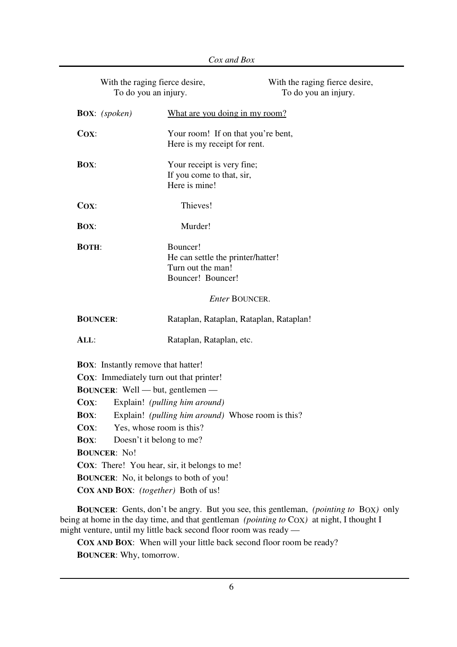| With the raging fierce desire,<br>To do you an injury.                                                                                                                                                                                                                                                                                                                                                                     |                                                                                                                                                                                                                                                                                                                                     | With the raging fierce desire,<br>To do you an injury. |
|----------------------------------------------------------------------------------------------------------------------------------------------------------------------------------------------------------------------------------------------------------------------------------------------------------------------------------------------------------------------------------------------------------------------------|-------------------------------------------------------------------------------------------------------------------------------------------------------------------------------------------------------------------------------------------------------------------------------------------------------------------------------------|--------------------------------------------------------|
| <b>BOX:</b> (spoken)                                                                                                                                                                                                                                                                                                                                                                                                       | What are you doing in my room?                                                                                                                                                                                                                                                                                                      |                                                        |
| $Cox$ :                                                                                                                                                                                                                                                                                                                                                                                                                    | Your room! If on that you're bent,<br>Here is my receipt for rent.                                                                                                                                                                                                                                                                  |                                                        |
| <b>BOX:</b>                                                                                                                                                                                                                                                                                                                                                                                                                | Your receipt is very fine;<br>If you come to that, sir,<br>Here is mine!                                                                                                                                                                                                                                                            |                                                        |
| Cox:                                                                                                                                                                                                                                                                                                                                                                                                                       | Thieves!                                                                                                                                                                                                                                                                                                                            |                                                        |
| <b>BOX:</b>                                                                                                                                                                                                                                                                                                                                                                                                                | Murder!                                                                                                                                                                                                                                                                                                                             |                                                        |
| <b>BOTH:</b>                                                                                                                                                                                                                                                                                                                                                                                                               | Bouncer!<br>He can settle the printer/hatter!<br>Turn out the man!<br>Bouncer! Bouncer!                                                                                                                                                                                                                                             |                                                        |
|                                                                                                                                                                                                                                                                                                                                                                                                                            | <b>Enter BOUNCER.</b>                                                                                                                                                                                                                                                                                                               |                                                        |
| <b>BOUNCER:</b>                                                                                                                                                                                                                                                                                                                                                                                                            | Rataplan, Rataplan, Rataplan, Rataplan!                                                                                                                                                                                                                                                                                             |                                                        |
| ALL:                                                                                                                                                                                                                                                                                                                                                                                                                       | Rataplan, Rataplan, etc.                                                                                                                                                                                                                                                                                                            |                                                        |
| <b>BOX:</b> Instantly remove that hatter!<br>COX: Immediately turn out that printer!<br><b>BOUNCER:</b> Well — but, gentlemen —<br>$Cox$ :<br>Explain! ( <i>pulling him around</i> )<br>Explain! (pulling him around) Whose room is this?<br><b>BOX:</b><br>$\mathbf{Cox}$ :<br>Yes, whose room is this?<br>Doesn't it belong to me?<br><b>BOX:</b><br><b>BOUNCER: No!</b><br>COX: There! You hear, sir, it belongs to me! |                                                                                                                                                                                                                                                                                                                                     |                                                        |
| <b>BOUNCER:</b> No, it belongs to both of you!                                                                                                                                                                                                                                                                                                                                                                             |                                                                                                                                                                                                                                                                                                                                     |                                                        |
| COX AND BOX: (together) Both of us!                                                                                                                                                                                                                                                                                                                                                                                        | <b>DOIBORD</b> , $Q_{\text{sub}}$ , $\frac{1}{2}$ , $\frac{1}{2}$ , $\frac{1}{2}$ , $\frac{1}{2}$ , $\frac{1}{2}$ , $\frac{1}{2}$ , $\frac{1}{2}$ , $\frac{1}{2}$ , $\frac{1}{2}$ , $\frac{1}{2}$ , $\frac{1}{2}$ , $\frac{1}{2}$ , $\frac{1}{2}$ , $\frac{1}{2}$ , $\frac{1}{2}$ , $\frac{1}{2}$ , $\frac{1}{2}$ , $\frac{1}{2}$ , |                                                        |

**BOUNCER**: Gents, don't be angry. But you see, this gentleman, *(pointing to* BOX*)* only being at home in the day time, and that gentleman *(pointing to* COX) at night, I thought I might venture, until my little back second floor room was ready —

**COX AND BOX**: When will your little back second floor room be ready? **BOUNCER**: Why, tomorrow.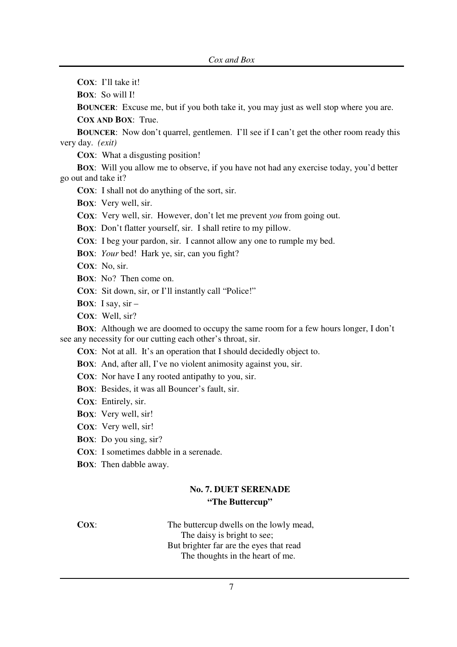**COX**: I'll take it!

**BOX**: So will I!

**BOUNCER:** Excuse me, but if you both take it, you may just as well stop where you are.

**COX AND BOX**: True.

**BOUNCER:** Now don't quarrel, gentlemen. I'll see if I can't get the other room ready this very day. *(exit)*

**COX**: What a disgusting position!

**BOX**: Will you allow me to observe, if you have not had any exercise today, you'd better go out and take it?

**COX**: I shall not do anything of the sort, sir.

**BOX**: Very well, sir.

**COX**: Very well, sir. However, don't let me prevent *you* from going out.

**BOX**: Don't flatter yourself, sir. I shall retire to my pillow.

**COX**: I beg your pardon, sir. I cannot allow any one to rumple my bed.

**BOX**: *Your* bed! Hark ye, sir, can you fight?

**COX**: No, sir.

**BOX**: No? Then come on.

**COX**: Sit down, sir, or I'll instantly call "Police!"

**BOX**: I say,  $\sin$  –

**COX**: Well, sir?

**BOX**: Although we are doomed to occupy the same room for a few hours longer, I don't see any necessity for our cutting each other's throat, sir.

**COX**: Not at all. It's an operation that I should decidedly object to.

**BOX**: And, after all, I've no violent animosity against you, sir.

**COX**: Nor have I any rooted antipathy to you, sir.

**BOX**: Besides, it was all Bouncer's fault, sir.

**COX**: Entirely, sir.

**BOX**: Very well, sir!

**COX**: Very well, sir!

**BOX**: Do you sing, sir?

**COX**: I sometimes dabble in a serenade.

**BOX**: Then dabble away.

#### **No. 7. DUET SERENADE "The Buttercup"**

**COX:** The buttercup dwells on the lowly mead, The daisy is bright to see; But brighter far are the eyes that read The thoughts in the heart of me.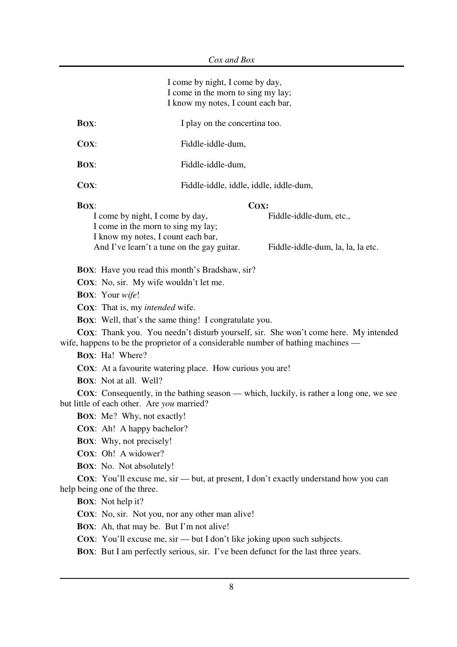|             | I come by night, I come by day,<br>I come in the morn to sing my lay;<br>I know my notes, I count each bar,                                                                                                                                                                                                                                                                                                                                                                                                                                                                                                                                                                                                                                                                                                                                                                                                                                                                                                                                                                                                                                                                     |                                                              |
|-------------|---------------------------------------------------------------------------------------------------------------------------------------------------------------------------------------------------------------------------------------------------------------------------------------------------------------------------------------------------------------------------------------------------------------------------------------------------------------------------------------------------------------------------------------------------------------------------------------------------------------------------------------------------------------------------------------------------------------------------------------------------------------------------------------------------------------------------------------------------------------------------------------------------------------------------------------------------------------------------------------------------------------------------------------------------------------------------------------------------------------------------------------------------------------------------------|--------------------------------------------------------------|
| <b>BOX:</b> | I play on the concertina too.                                                                                                                                                                                                                                                                                                                                                                                                                                                                                                                                                                                                                                                                                                                                                                                                                                                                                                                                                                                                                                                                                                                                                   |                                                              |
| $Cox$ :     | Fiddle-iddle-dum,                                                                                                                                                                                                                                                                                                                                                                                                                                                                                                                                                                                                                                                                                                                                                                                                                                                                                                                                                                                                                                                                                                                                                               |                                                              |
| <b>BOX:</b> | Fiddle-iddle-dum,                                                                                                                                                                                                                                                                                                                                                                                                                                                                                                                                                                                                                                                                                                                                                                                                                                                                                                                                                                                                                                                                                                                                                               |                                                              |
| $Cox$ :     | Fiddle-iddle, iddle, iddle, iddle-dum,                                                                                                                                                                                                                                                                                                                                                                                                                                                                                                                                                                                                                                                                                                                                                                                                                                                                                                                                                                                                                                                                                                                                          |                                                              |
| <b>BOX:</b> | COX:<br>I come by night, I come by day,<br>I come in the morn to sing my lay;<br>I know my notes, I count each bar,<br>And I've learn't a tune on the gay guitar.<br><b>BOX:</b> Have you read this month's Bradshaw, sir?<br><b>COX:</b> No, sir. My wife wouldn't let me.<br><b>BOX:</b> Your wife!<br><b>COX:</b> That is, my <i>intended</i> wife.<br><b>BOX:</b> Well, that's the same thing! I congratulate you.<br>COX: Thank you. You needn't disturb yourself, sir. She won't come here. My intended<br>wife, happens to be the proprietor of a considerable number of bathing machines —<br><b>BOX:</b> Ha! Where?<br><b>COX:</b> At a favourite watering place. How curious you are!<br><b>BOX:</b> Not at all. Well?<br><b>COX:</b> Consequently, in the bathing season — which, luckily, is rather a long one, we see<br>but little of each other. Are you married?<br><b>BOX:</b> Me? Why, not exactly!<br>COX: Ah! A happy bachelor?<br><b>BOX:</b> Why, not precisely!<br>COX: Oh! A widower?<br><b>BOX:</b> No. Not absolutely!<br><b>COX:</b> You'll excuse me, sir — but, at present, I don't exactly understand how you can<br>help being one of the three. | Fiddle-iddle-dum, etc.,<br>Fiddle-iddle-dum, la, la, la etc. |
|             | <b>BOX:</b> Not help it?<br><b>COX:</b> No, sir. Not you, nor any other man alive!<br>BOX: Ah, that may be. But I'm not alive!<br><b>COX:</b> You'll excuse me, sir — but I don't like joking upon such subjects.<br><b>BOX:</b> But I am perfectly serious, sir. I've been defunct for the last three years.                                                                                                                                                                                                                                                                                                                                                                                                                                                                                                                                                                                                                                                                                                                                                                                                                                                                   |                                                              |
|             |                                                                                                                                                                                                                                                                                                                                                                                                                                                                                                                                                                                                                                                                                                                                                                                                                                                                                                                                                                                                                                                                                                                                                                                 |                                                              |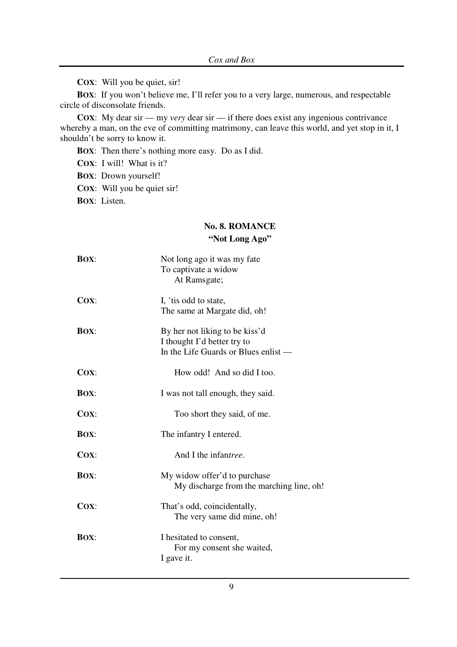**COX**: Will you be quiet, sir!

**BOX**: If you won't believe me, I'll refer you to a very large, numerous, and respectable circle of disconsolate friends.

**COX:** My dear sir — my *very* dear sir — if there does exist any ingenious contrivance whereby a man, on the eve of committing matrimony, can leave this world, and yet stop in it, I shouldn't be sorry to know it.

**BOX**: Then there's nothing more easy. Do as I did.

**COX**: I will! What is it?

**BOX**: Drown yourself!

**COX**: Will you be quiet sir!

**BOX**: Listen.

#### **No. 8. ROMANCE "Not Long Ago"**

| <b>BOX:</b> | Not long ago it was my fate<br>To captivate a widow<br>At Ramsgate;                                   |
|-------------|-------------------------------------------------------------------------------------------------------|
| Cox:        | I, 'tis odd to state,<br>The same at Margate did, oh!                                                 |
| <b>BOX:</b> | By her not liking to be kiss'd<br>I thought I'd better try to<br>In the Life Guards or Blues enlist — |
| Cox:        | How odd! And so did I too.                                                                            |
| <b>BOX:</b> | I was not tall enough, they said.                                                                     |
| Cox:        | Too short they said, of me.                                                                           |
| <b>BOX:</b> | The infantry I entered.                                                                               |
| $Cox$ :     | And I the infantree.                                                                                  |
| <b>BOX:</b> | My widow offer'd to purchase<br>My discharge from the marching line, oh!                              |
| COX:        | That's odd, coincidentally,<br>The very same did mine, oh!                                            |
| <b>BOX:</b> | I hesitated to consent,<br>For my consent she waited,<br>I gave it.                                   |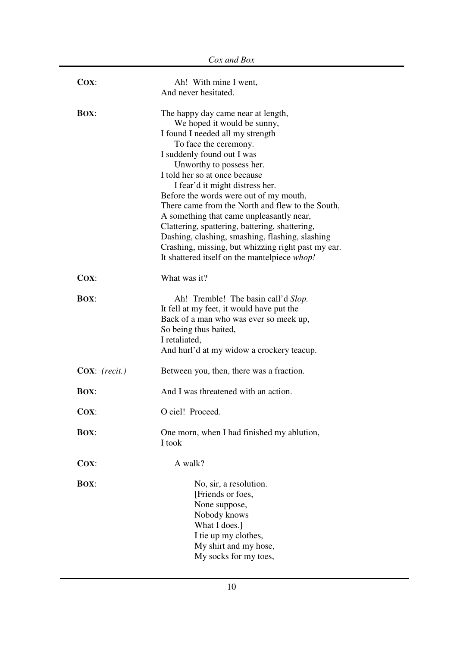| $Cox$ :                  | Ah! With mine I went,<br>And never hesitated.                                                                                                                                                                                                                                                                                                                                                                                                                                                                                                                                                                     |
|--------------------------|-------------------------------------------------------------------------------------------------------------------------------------------------------------------------------------------------------------------------------------------------------------------------------------------------------------------------------------------------------------------------------------------------------------------------------------------------------------------------------------------------------------------------------------------------------------------------------------------------------------------|
|                          |                                                                                                                                                                                                                                                                                                                                                                                                                                                                                                                                                                                                                   |
| <b>BOX:</b>              | The happy day came near at length,<br>We hoped it would be sunny,<br>I found I needed all my strength<br>To face the ceremony.<br>I suddenly found out I was<br>Unworthy to possess her.<br>I told her so at once because<br>I fear'd it might distress her.<br>Before the words were out of my mouth,<br>There came from the North and flew to the South,<br>A something that came unpleasantly near,<br>Clattering, spattering, battering, shattering,<br>Dashing, clashing, smashing, flashing, slashing<br>Crashing, missing, but whizzing right past my ear.<br>It shattered itself on the mantelpiece whop! |
| $Cox$ :                  | What was it?                                                                                                                                                                                                                                                                                                                                                                                                                                                                                                                                                                                                      |
| <b>BOX:</b>              | Ah! Tremble! The basin call'd Slop.<br>It fell at my feet, it would have put the<br>Back of a man who was ever so meek up,<br>So being thus baited,<br>I retaliated,<br>And hurl'd at my widow a crockery teacup.                                                                                                                                                                                                                                                                                                                                                                                                 |
| $\mathbf{Cox}:$ (recit.) | Between you, then, there was a fraction.                                                                                                                                                                                                                                                                                                                                                                                                                                                                                                                                                                          |
| <b>BOX:</b>              | And I was threatened with an action.                                                                                                                                                                                                                                                                                                                                                                                                                                                                                                                                                                              |
| $Cox$ :                  | O ciel! Proceed.                                                                                                                                                                                                                                                                                                                                                                                                                                                                                                                                                                                                  |
| <b>BOX:</b>              | One morn, when I had finished my ablution,<br>I took                                                                                                                                                                                                                                                                                                                                                                                                                                                                                                                                                              |
| $Cox$ :                  | A walk?                                                                                                                                                                                                                                                                                                                                                                                                                                                                                                                                                                                                           |
| <b>BOX:</b>              | No, sir, a resolution.<br>[Friends or foes,<br>None suppose,<br>Nobody knows<br>What I does.]<br>I tie up my clothes,<br>My shirt and my hose,<br>My socks for my toes,                                                                                                                                                                                                                                                                                                                                                                                                                                           |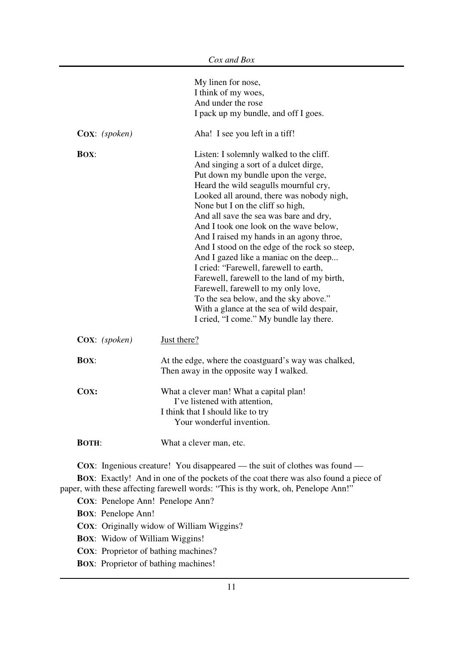|                                             | My linen for nose,<br>I think of my woes,<br>And under the rose<br>I pack up my bundle, and off I goes.                                                                                                                                                                                                                                                                                                                                                                                                                                                                                                                                                                                                                                     |
|---------------------------------------------|---------------------------------------------------------------------------------------------------------------------------------------------------------------------------------------------------------------------------------------------------------------------------------------------------------------------------------------------------------------------------------------------------------------------------------------------------------------------------------------------------------------------------------------------------------------------------------------------------------------------------------------------------------------------------------------------------------------------------------------------|
| Cox: (spoken)                               | Aha! I see you left in a tiff!                                                                                                                                                                                                                                                                                                                                                                                                                                                                                                                                                                                                                                                                                                              |
| <b>BOX:</b>                                 | Listen: I solemnly walked to the cliff.<br>And singing a sort of a dulcet dirge,<br>Put down my bundle upon the verge,<br>Heard the wild seagulls mournful cry,<br>Looked all around, there was nobody nigh,<br>None but I on the cliff so high,<br>And all save the sea was bare and dry,<br>And I took one look on the wave below,<br>And I raised my hands in an agony throe,<br>And I stood on the edge of the rock so steep,<br>And I gazed like a maniac on the deep<br>I cried: "Farewell, farewell to earth,<br>Farewell, farewell to the land of my birth,<br>Farewell, farewell to my only love,<br>To the sea below, and the sky above."<br>With a glance at the sea of wild despair,<br>I cried, "I come." My bundle lay there. |
| $\mathbf{Cox}: (spoken)$                    | Just there?                                                                                                                                                                                                                                                                                                                                                                                                                                                                                                                                                                                                                                                                                                                                 |
| <b>BOX:</b>                                 | At the edge, where the coastguard's way was chalked,<br>Then away in the opposite way I walked.                                                                                                                                                                                                                                                                                                                                                                                                                                                                                                                                                                                                                                             |
| COX:                                        | What a clever man! What a capital plan!<br>I've listened with attention,<br>I think that I should like to try<br>Your wonderful invention.                                                                                                                                                                                                                                                                                                                                                                                                                                                                                                                                                                                                  |
| <b>BOTH:</b>                                | What a clever man, etc.                                                                                                                                                                                                                                                                                                                                                                                                                                                                                                                                                                                                                                                                                                                     |
| COX: Penelope Ann! Penelope Ann?            | <b>COX:</b> Ingenious creature! You disappeared — the suit of clothes was found —<br><b>BOX:</b> Exactly! And in one of the pockets of the coat there was also found a piece of<br>paper, with these affecting farewell words: "This is thy work, oh, Penelope Ann!"                                                                                                                                                                                                                                                                                                                                                                                                                                                                        |
| <b>BOX:</b> Penelope Ann!                   | COX: Originally widow of William Wiggins?                                                                                                                                                                                                                                                                                                                                                                                                                                                                                                                                                                                                                                                                                                   |
| <b>BOX:</b> Widow of William Wiggins!       |                                                                                                                                                                                                                                                                                                                                                                                                                                                                                                                                                                                                                                                                                                                                             |
| <b>COX:</b> Proprietor of bathing machines? |                                                                                                                                                                                                                                                                                                                                                                                                                                                                                                                                                                                                                                                                                                                                             |
|                                             |                                                                                                                                                                                                                                                                                                                                                                                                                                                                                                                                                                                                                                                                                                                                             |

**BOX**: Proprietor of bathing machines!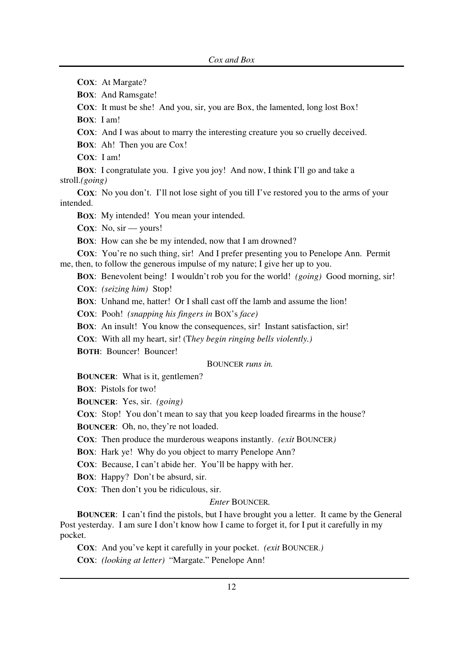**COX**: At Margate?

**BOX**: And Ramsgate!

**COX:** It must be she! And you, sir, you are Box, the lamented, long lost Box!

**BOX**: I am!

**COX:** And I was about to marry the interesting creature you so cruelly deceived.

**BOX**: Ah! Then you are Cox!

**COX**: I am!

**BOX**: I congratulate you. I give you joy! And now, I think I'll go and take a stroll.*(going)*

**COX**: No you don't. I'll not lose sight of you till I've restored you to the arms of your intended.

**BOX**: My intended! You mean your intended.

**COX**: No, sir — yours!

**BOX**: How can she be my intended, now that I am drowned?

**COX:** You're no such thing, sir! And I prefer presenting you to Penelope Ann. Permit me, then, to follow the generous impulse of my nature; I give her up to you.

**BOX**: Benevolent being! I wouldn't rob you for the world! *(going)* Good morning, sir! **COX**: *(seizing him)* Stop!

**BOX**: Unhand me, hatter! Or I shall cast off the lamb and assume the lion!

**COX**: Pooh! *(snapping his fingers in* BOX's *face)*

**BOX**: An insult! You know the consequences, sir! Instant satisfaction, sir!

**COX**: With all my heart, sir! (T*hey begin ringing bells violently.)*

**BOTH**: Bouncer! Bouncer!

BOUNCER *runs in.*

**BOUNCER**: What is it, gentlemen?

**BOX**: Pistols for two!

**BOUNCER**: Yes, sir. *(going)*

**COX:** Stop! You don't mean to say that you keep loaded firearms in the house?

**BOUNCER**: Oh, no, they're not loaded.

**COX**: Then produce the murderous weapons instantly. *(exit* BOUNCER*)*

**BOX**: Hark ye! Why do you object to marry Penelope Ann?

**COX**: Because, I can't abide her. You'll be happy with her.

**BOX**: Happy? Don't be absurd, sir.

**COX**: Then don't you be ridiculous, sir.

#### *Enter* BOUNCER*.*

**BOUNCER**: I can't find the pistols, but I have brought you a letter. It came by the General Post yesterday. I am sure I don't know how I came to forget it, for I put it carefully in my pocket.

**COX**: And you've kept it carefully in your pocket. *(exit* BOUNCER.*)*

**COX**: *(looking at letter)* "Margate." Penelope Ann!